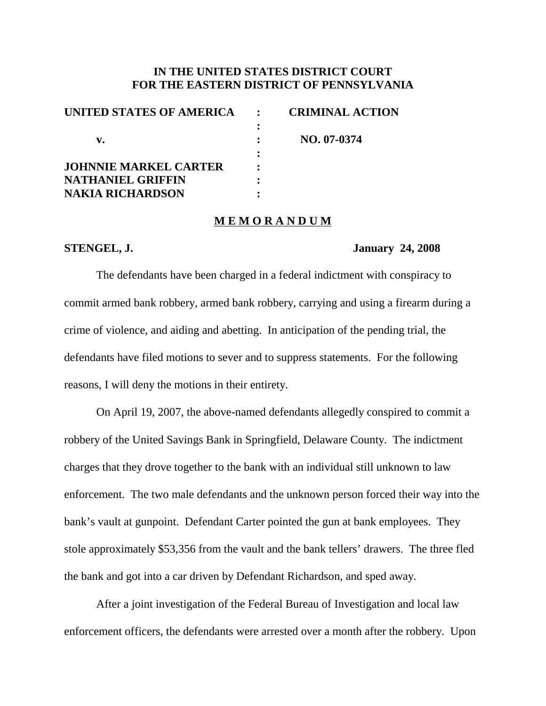# **IN THE UNITED STATES DISTRICT COURT FOR THE EASTERN DISTRICT OF PENNSYLVANIA**

| UNITED STATES OF AMERICA     | <b>CRIMINAL ACTION</b> |
|------------------------------|------------------------|
|                              |                        |
| v.                           | NO. 07-0374            |
|                              |                        |
| <b>JOHNNIE MARKEL CARTER</b> |                        |
| <b>NATHANIEL GRIFFIN</b>     |                        |
| <b>NAKIA RICHARDSON</b>      |                        |

#### **M E M O R A N D U M**

### **STENGEL, J. January 24, 2008**

The defendants have been charged in a federal indictment with conspiracy to commit armed bank robbery, armed bank robbery, carrying and using a firearm during a crime of violence, and aiding and abetting. In anticipation of the pending trial, the defendants have filed motions to sever and to suppress statements. For the following reasons, I will deny the motions in their entirety.

On April 19, 2007, the above-named defendants allegedly conspired to commit a robbery of the United Savings Bank in Springfield, Delaware County. The indictment charges that they drove together to the bank with an individual still unknown to law enforcement. The two male defendants and the unknown person forced their way into the bank's vault at gunpoint. Defendant Carter pointed the gun at bank employees. They stole approximately \$53,356 from the vault and the bank tellers' drawers. The three fled the bank and got into a car driven by Defendant Richardson, and sped away.

After a joint investigation of the Federal Bureau of Investigation and local law enforcement officers, the defendants were arrested over a month after the robbery. Upon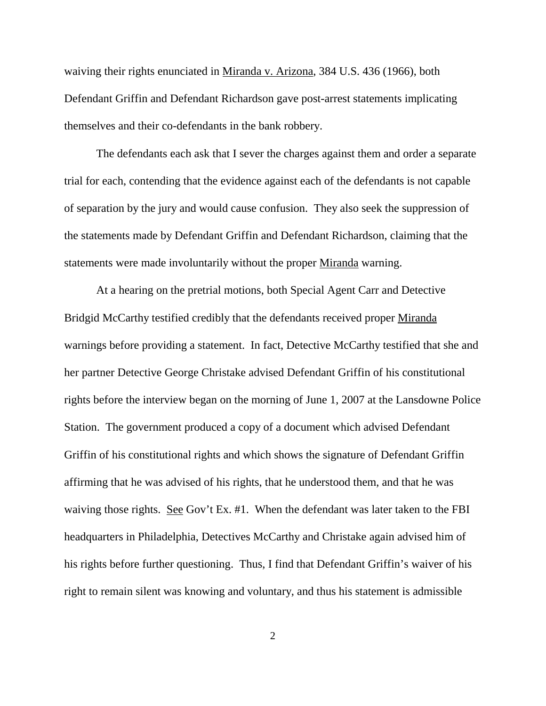waiving their rights enunciated in <u>Miranda v. Arizona</u>, 384 U.S. 436 (1966), both Defendant Griffin and Defendant Richardson gave post-arrest statements implicating themselves and their co-defendants in the bank robbery.

The defendants each ask that I sever the charges against them and order a separate trial for each, contending that the evidence against each of the defendants is not capable of separation by the jury and would cause confusion. They also seek the suppression of the statements made by Defendant Griffin and Defendant Richardson, claiming that the statements were made involuntarily without the proper Miranda warning.

At a hearing on the pretrial motions, both Special Agent Carr and Detective Bridgid McCarthy testified credibly that the defendants received proper Miranda warnings before providing a statement. In fact, Detective McCarthy testified that she and her partner Detective George Christake advised Defendant Griffin of his constitutional rights before the interview began on the morning of June 1, 2007 at the Lansdowne Police Station. The government produced a copy of a document which advised Defendant Griffin of his constitutional rights and which shows the signature of Defendant Griffin affirming that he was advised of his rights, that he understood them, and that he was waiving those rights. See Gov't Ex. #1. When the defendant was later taken to the FBI headquarters in Philadelphia, Detectives McCarthy and Christake again advised him of his rights before further questioning. Thus, I find that Defendant Griffin's waiver of his right to remain silent was knowing and voluntary, and thus his statement is admissible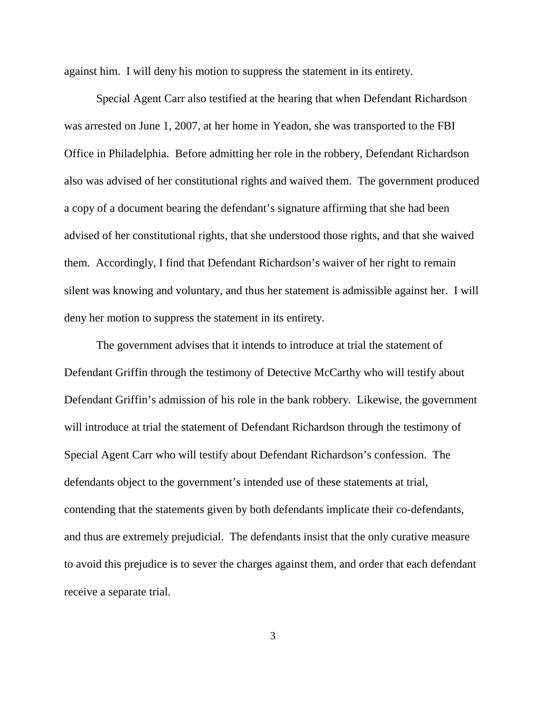against him. I will deny his motion to suppress the statement in its entirety.

Special Agent Carr also testified at the hearing that when Defendant Richardson was arrested on June 1, 2007, at her home in Yeadon, she was transported to the FBI Office in Philadelphia. Before admitting her role in the robbery, Defendant Richardson also was advised of her constitutional rights and waived them. The government produced a copy of a document bearing the defendant's signature affirming that she had been advised of her constitutional rights, that she understood those rights, and that she waived them. Accordingly, I find that Defendant Richardson's waiver of her right to remain silent was knowing and voluntary, and thus her statement is admissible against her. I will deny her motion to suppress the statement in its entirety.

The government advises that it intends to introduce at trial the statement of Defendant Griffin through the testimony of Detective McCarthy who will testify about Defendant Griffin's admission of his role in the bank robbery. Likewise, the government will introduce at trial the statement of Defendant Richardson through the testimony of Special Agent Carr who will testify about Defendant Richardson's confession. The defendants object to the government's intended use of these statements at trial, contending that the statements given by both defendants implicate their co-defendants, and thus are extremely prejudicial. The defendants insist that the only curative measure to avoid this prejudice is to sever the charges against them, and order that each defendant receive a separate trial.

3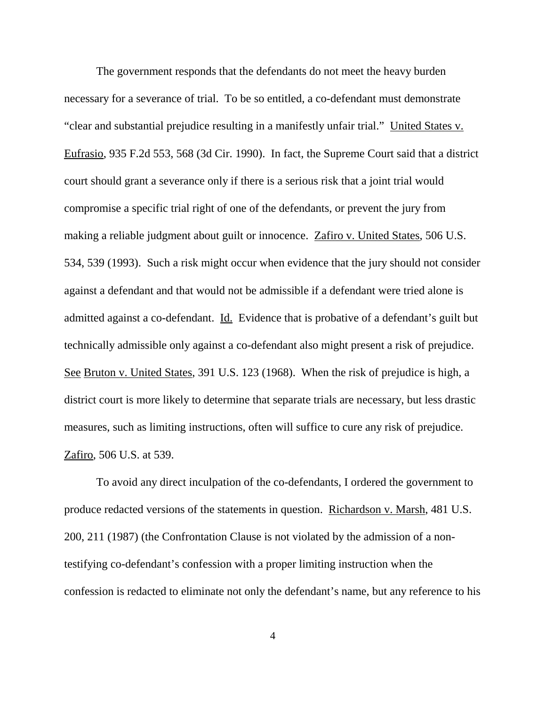The government responds that the defendants do not meet the heavy burden necessary for a severance of trial. To be so entitled, a co-defendant must demonstrate "clear and substantial prejudice resulting in a manifestly unfair trial." United States v. Eufrasio, 935 F.2d 553, 568 (3d Cir. 1990). In fact, the Supreme Court said that a district court should grant a severance only if there is a serious risk that a joint trial would compromise a specific trial right of one of the defendants, or prevent the jury from making a reliable judgment about guilt or innocence. Zafiro v. United States, 506 U.S. 534, 539 (1993). Such a risk might occur when evidence that the jury should not consider against a defendant and that would not be admissible if a defendant were tried alone is admitted against a co-defendant. Id. Evidence that is probative of a defendant's guilt but technically admissible only against a co-defendant also might present a risk of prejudice. See Bruton v. United States, 391 U.S. 123 (1968). When the risk of prejudice is high, a district court is more likely to determine that separate trials are necessary, but less drastic measures, such as limiting instructions, often will suffice to cure any risk of prejudice. Zafiro, 506 U.S. at 539.

To avoid any direct inculpation of the co-defendants, I ordered the government to produce redacted versions of the statements in question. Richardson v. Marsh, 481 U.S. 200, 211 (1987) (the Confrontation Clause is not violated by the admission of a nontestifying co-defendant's confession with a proper limiting instruction when the confession is redacted to eliminate not only the defendant's name, but any reference to his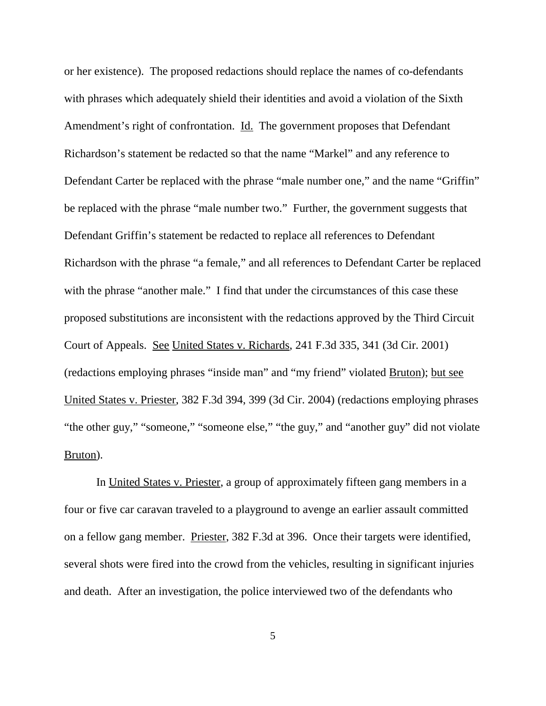or her existence). The proposed redactions should replace the names of co-defendants with phrases which adequately shield their identities and avoid a violation of the Sixth Amendment's right of confrontation. Id. The government proposes that Defendant Richardson's statement be redacted so that the name "Markel" and any reference to Defendant Carter be replaced with the phrase "male number one," and the name "Griffin" be replaced with the phrase "male number two." Further, the government suggests that Defendant Griffin's statement be redacted to replace all references to Defendant Richardson with the phrase "a female," and all references to Defendant Carter be replaced with the phrase "another male." I find that under the circumstances of this case these proposed substitutions are inconsistent with the redactions approved by the Third Circuit Court of Appeals. See United States v. Richards, 241 F.3d 335, 341 (3d Cir. 2001) (redactions employing phrases "inside man" and "my friend" violated Bruton); but see United States v. Priester, 382 F.3d 394, 399 (3d Cir. 2004) (redactions employing phrases "the other guy," "someone," "someone else," "the guy," and "another guy" did not violate Bruton).

In United States v. Priester, a group of approximately fifteen gang members in a four or five car caravan traveled to a playground to avenge an earlier assault committed on a fellow gang member. Priester, 382 F.3d at 396. Once their targets were identified, several shots were fired into the crowd from the vehicles, resulting in significant injuries and death. After an investigation, the police interviewed two of the defendants who

5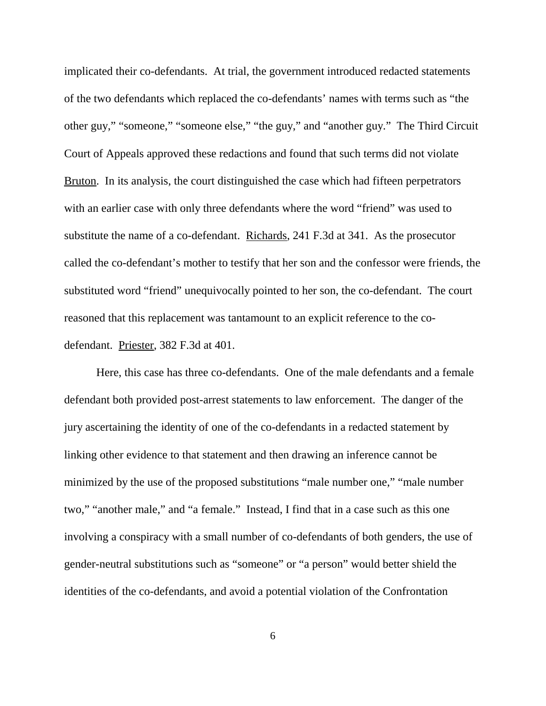implicated their co-defendants. At trial, the government introduced redacted statements of the two defendants which replaced the co-defendants' names with terms such as "the other guy," "someone," "someone else," "the guy," and "another guy." The Third Circuit Court of Appeals approved these redactions and found that such terms did not violate Bruton. In its analysis, the court distinguished the case which had fifteen perpetrators with an earlier case with only three defendants where the word "friend" was used to substitute the name of a co-defendant. Richards, 241 F.3d at 341. As the prosecutor called the co-defendant's mother to testify that her son and the confessor were friends, the substituted word "friend" unequivocally pointed to her son, the co-defendant. The court reasoned that this replacement was tantamount to an explicit reference to the codefendant. Priester, 382 F.3d at 401.

Here, this case has three co-defendants. One of the male defendants and a female defendant both provided post-arrest statements to law enforcement. The danger of the jury ascertaining the identity of one of the co-defendants in a redacted statement by linking other evidence to that statement and then drawing an inference cannot be minimized by the use of the proposed substitutions "male number one," "male number two," "another male," and "a female." Instead, I find that in a case such as this one involving a conspiracy with a small number of co-defendants of both genders, the use of gender-neutral substitutions such as "someone" or "a person" would better shield the identities of the co-defendants, and avoid a potential violation of the Confrontation

6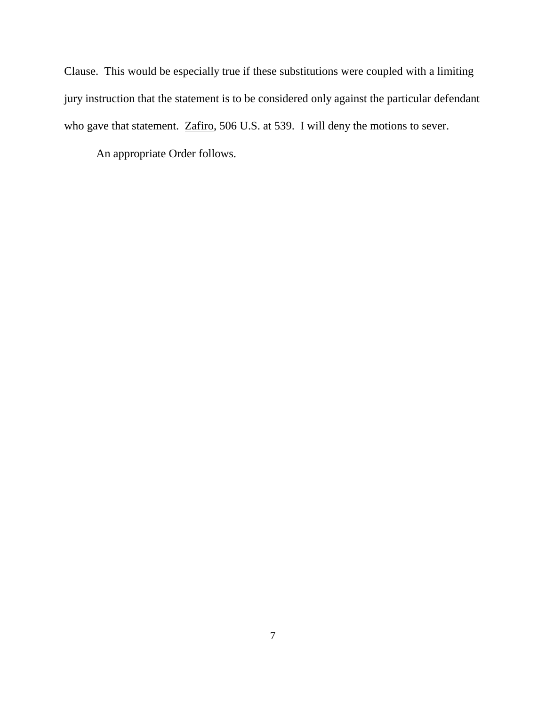Clause. This would be especially true if these substitutions were coupled with a limiting jury instruction that the statement is to be considered only against the particular defendant who gave that statement. Zafiro, 506 U.S. at 539. I will deny the motions to sever.

An appropriate Order follows.